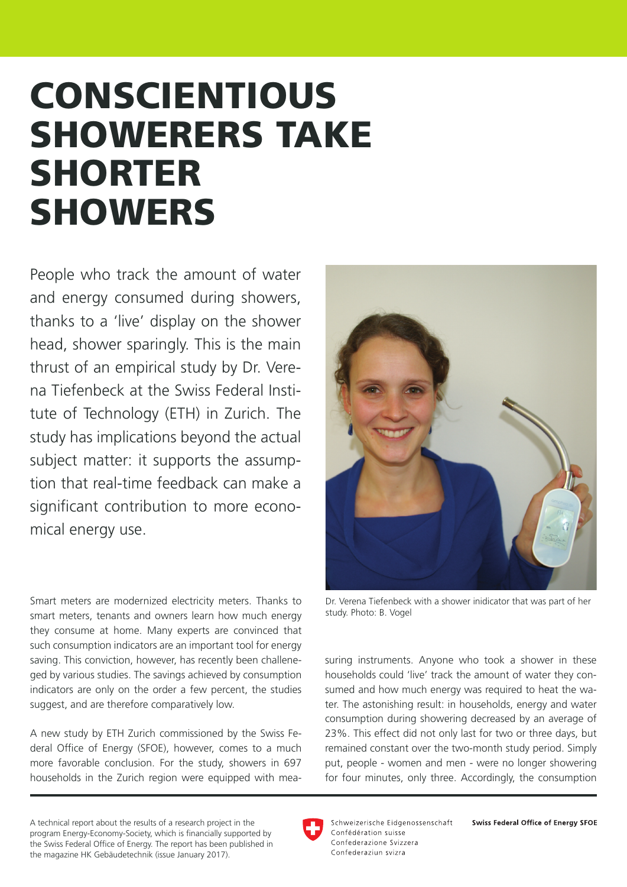# **CONSCIENTIOUS** Showerers take **SHORTER SHOWERS**

People who track the amount of water and energy consumed during showers, thanks to a 'live' display on the shower head, shower sparingly. This is the main thrust of an empirical study by Dr. Verena Tiefenbeck at the Swiss Federal Institute of Technology (ETH) in Zurich. The study has implications beyond the actual subject matter: it supports the assumption that real-time feedback can make a significant contribution to more economical energy use.

Smart meters are modernized electricity meters. Thanks to smart meters, tenants and owners learn how much energy they consume at home. Many experts are convinced that such consumption indicators are an important tool for energy saving. This conviction, however, has recently been challeneged by various studies. The savings achieved by consumption indicators are only on the order a few percent, the studies suggest, and are therefore comparatively low.

A new study by ETH Zurich commissioned by the Swiss Federal Office of Energy (SFOE), however, comes to a much more favorable conclusion. For the study, showers in 697 households in the Zurich region were equipped with mea-



Dr. Verena Tiefenbeck with a shower inidicator that was part of her study. Photo: B. Vogel

suring instruments. Anyone who took a shower in these households could 'live' track the amount of water they consumed and how much energy was required to heat the water. The astonishing result: in households, energy and water consumption during showering decreased by an average of 23%. This effect did not only last for two or three days, but remained constant over the two-month study period. Simply put, people - women and men - were no longer showering for four minutes, only three. Accordingly, the consumption

A technical report about the results of a research project in the program Energy-Economy-Society, which is financially supported by the Swiss Federal Office of Energy. The report has been published in the magazine HK Gebäudetechnik (issue January 2017).



Schweizerische Eidgenossenschaft Confédération suisse Confederazione Svizzera Confederaziun svizra

**Swiss Federal Office of Energy SFOE**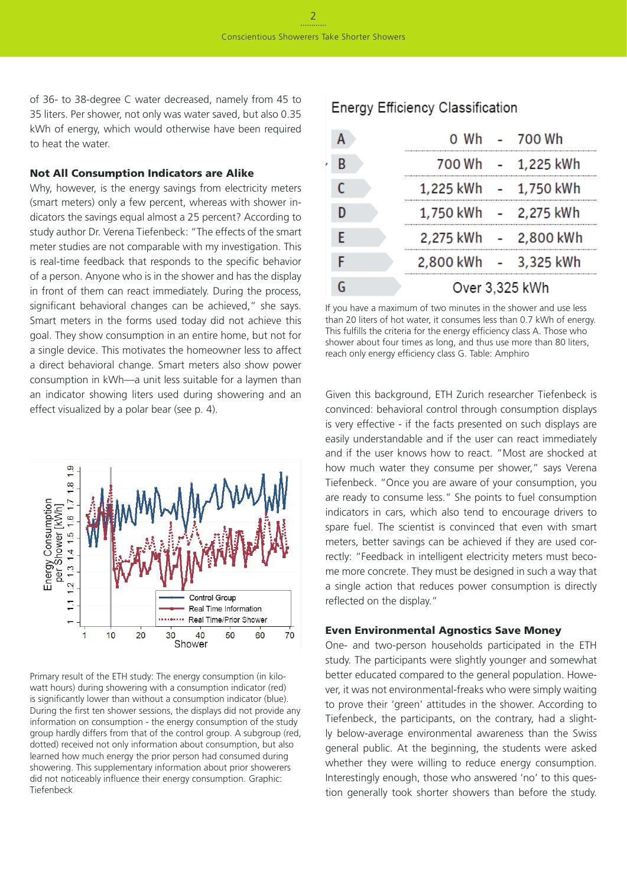of 36- to 38-degree C water decreased, namely from 45 to 35 liters. Per shower, not only was water saved, but also 0.35 kWh of energy, which would otherwise have been required to heat the water.

#### Not All Consumption Indicators are Alike

Why, however, is the energy savings from electricity meters (smart meters) only a few percent, whereas with shower indicators the savings equal almost a 25 percent? According to study author Dr. Verena Tiefenbeck: "The effects of the smart meter studies are not comparable with my investigation. This is real-time feedback that responds to the specific behavior of a person. Anyone who is in the shower and has the display in front of them can react immediately. During the process, significant behavioral changes can be achieved," she says. Smart meters in the forms used today did not achieve this goal. They show consumption in an entire home, but not for a single device. This motivates the homeowner less to affect a direct behavioral change. Smart meters also show power consumption in kWh—a unit less suitable for a laymen than an indicator showing liters used during showering and an effect visualized by a polar bear (see p. 4).



Primary result of the ETH study: The energy consumption (in kilowatt hours) during showering with a consumption indicator (red) is significantly lower than without a consumption indicator (blue). During the first ten shower sessions, the displays did not provide any information on consumption - the energy consumption of the study group hardly differs from that of the control group. A subgroup (red, dotted) received not only information about consumption, but also learned how much energy the prior person had consumed during showering. This supplementary information about prior showerers did not noticeably influence their energy consumption. Graphic: Tiefenbeck

### Energy Efficiency Classification

|   |                       |  | 0 Wh - 700 Wh         |
|---|-----------------------|--|-----------------------|
|   |                       |  | 700 Wh - 1,225 kWh    |
|   | 1,225 kWh - 1,750 kWh |  |                       |
|   | 1,750 kWh - 2,275 kWh |  |                       |
| F |                       |  | 2,275 kWh - 2,800 kWh |
|   | 2,800 kWh - 3,325 kWh |  |                       |
|   | Over 3,325 kWh        |  |                       |

If you have a maximum of two minutes in the shower and use less than 20 liters of hot water, it consumes less than 0.7 kWh of energy. This fulfills the criteria for the energy efficiency class A. Those who shower about four times as long, and thus use more than 80 liters, reach only energy efficiency class G. Table: Amphiro

Given this background, ETH Zurich researcher Tiefenbeck is convinced: behavioral control through consumption displays is very effective - if the facts presented on such displays are easily understandable and if the user can react immediately and if the user knows how to react. "Most are shocked at how much water they consume per shower," says Verena Tiefenbeck. "Once you are aware of your consumption, you are ready to consume less." She points to fuel consumption indicators in cars, which also tend to encourage drivers to spare fuel. The scientist is convinced that even with smart meters, better savings can be achieved if they are used correctly: "Feedback in intelligent electricity meters must become more concrete. They must be designed in such a way that a single action that reduces power consumption is directly reflected on the display."

#### Even Environmental Agnostics Save Money

One- and two-person households participated in the ETH study. The participants were slightly younger and somewhat better educated compared to the general population. However, it was not environmental-freaks who were simply waiting to prove their 'green' attitudes in the shower. According to Tiefenbeck, the participants, on the contrary, had a slightly below-average environmental awareness than the Swiss general public. At the beginning, the students were asked whether they were willing to reduce energy consumption. Interestingly enough, those who answered 'no' to this question generally took shorter showers than before the study.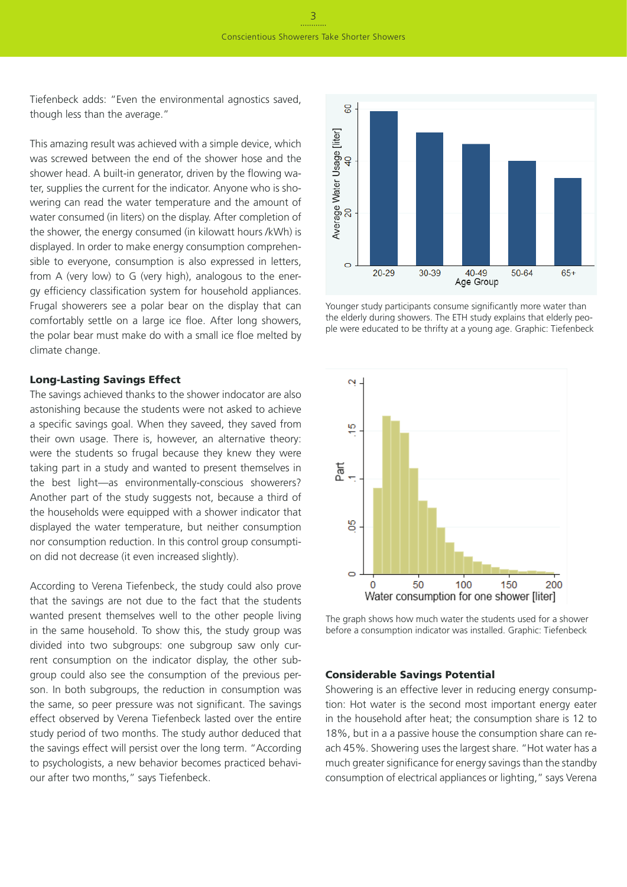Tiefenbeck adds: "Even the environmental agnostics saved, though less than the average."

This amazing result was achieved with a simple device, which was screwed between the end of the shower hose and the shower head. A built-in generator, driven by the flowing water, supplies the current for the indicator. Anyone who is showering can read the water temperature and the amount of water consumed (in liters) on the display. After completion of the shower, the energy consumed (in kilowatt hours /kWh) is displayed. In order to make energy consumption comprehensible to everyone, consumption is also expressed in letters, from A (very low) to G (very high), analogous to the energy efficiency classification system for household appliances. Frugal showerers see a polar bear on the display that can comfortably settle on a large ice floe. After long showers, the polar bear must make do with a small ice floe melted by climate change.

#### Long-Lasting Savings Effect

The savings achieved thanks to the shower indocator are also astonishing because the students were not asked to achieve a specific savings goal. When they saveed, they saved from their own usage. There is, however, an alternative theory: were the students so frugal because they knew they were taking part in a study and wanted to present themselves in the best light—as environmentally-conscious showerers? Another part of the study suggests not, because a third of the households were equipped with a shower indicator that displayed the water temperature, but neither consumption nor consumption reduction. In this control group consumption did not decrease (it even increased slightly).

According to Verena Tiefenbeck, the study could also prove that the savings are not due to the fact that the students wanted present themselves well to the other people living in the same household. To show this, the study group was divided into two subgroups: one subgroup saw only current consumption on the indicator display, the other subgroup could also see the consumption of the previous person. In both subgroups, the reduction in consumption was the same, so peer pressure was not significant. The savings effect observed by Verena Tiefenbeck lasted over the entire study period of two months. The study author deduced that the savings effect will persist over the long term. "According to psychologists, a new behavior becomes practiced behaviour after two months," says Tiefenbeck.



Younger study participants consume significantly more water than the elderly during showers. The ETH study explains that elderly people were educated to be thrifty at a young age. Graphic: Tiefenbeck



The graph shows how much water the students used for a shower before a consumption indicator was installed. Graphic: Tiefenbeck

#### Considerable Savings Potential

Showering is an effective lever in reducing energy consumption: Hot water is the second most important energy eater in the household after heat; the consumption share is 12 to 18%, but in a a passive house the consumption share can reach 45%. Showering uses the largest share. "Hot water has a much greater significance for energy savings than the standby consumption of electrical appliances or lighting," says Verena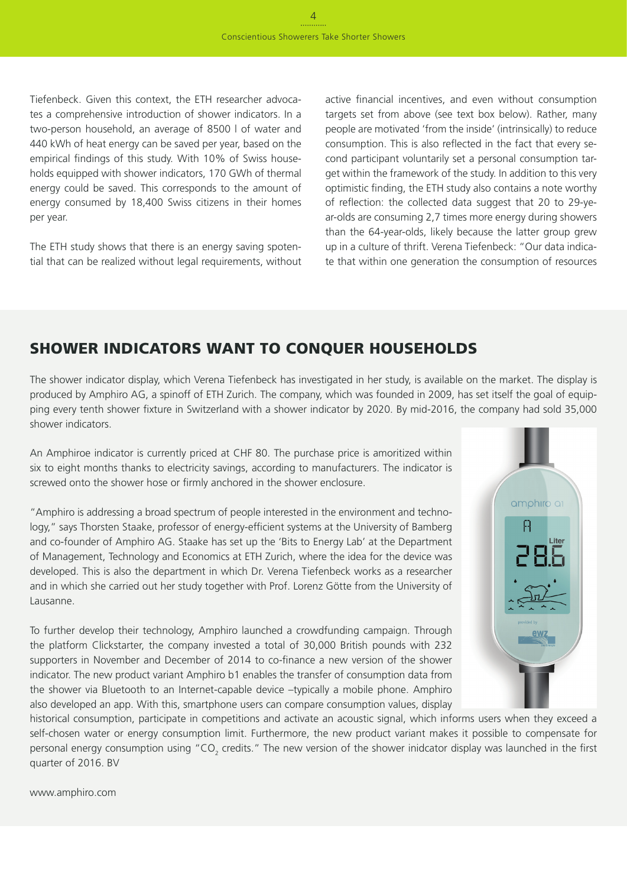Tiefenbeck. Given this context, the ETH researcher advocates a comprehensive introduction of shower indicators. In a two-person household, an average of 8500 l of water and 440 kWh of heat energy can be saved per year, based on the empirical findings of this study. With 10% of Swiss households equipped with shower indicators, 170 GWh of thermal energy could be saved. This corresponds to the amount of energy consumed by 18,400 Swiss citizens in their homes per year.

The ETH study shows that there is an energy saving spotential that can be realized without legal requirements, without active financial incentives, and even without consumption targets set from above (see text box below). Rather, many people are motivated 'from the inside' (intrinsically) to reduce consumption. This is also reflected in the fact that every second participant voluntarily set a personal consumption target within the framework of the study. In addition to this very optimistic finding, the ETH study also contains a note worthy of reflection: the collected data suggest that 20 to 29-year-olds are consuming 2,7 times more energy during showers than the 64-year-olds, likely because the latter group grew up in a culture of thrift. Verena Tiefenbeck: "Our data indicate that within one generation the consumption of resources

## Shower Indicators Want to Conquer Households

The shower indicator display, which Verena Tiefenbeck has investigated in her study, is available on the market. The display is produced by Amphiro AG, a spinoff of ETH Zurich. The company, which was founded in 2009, has set itself the goal of equipping every tenth shower fixture in Switzerland with a shower indicator by 2020. By mid-2016, the company had sold 35,000 shower indicators.

An Amphiroe indicator is currently priced at CHF 80. The purchase price is amoritized within six to eight months thanks to electricity savings, according to manufacturers. The indicator is screwed onto the shower hose or firmly anchored in the shower enclosure.

"Amphiro is addressing a broad spectrum of people interested in the environment and technology," says Thorsten Staake, professor of energy-efficient systems at the University of Bamberg and co-founder of Amphiro AG. Staake has set up the 'Bits to Energy Lab' at the Department of Management, Technology and Economics at ETH Zurich, where the idea for the device was developed. This is also the department in which Dr. Verena Tiefenbeck works as a researcher and in which she carried out her study together with Prof. Lorenz Götte from the University of Lausanne.

To further develop their technology, Amphiro launched a crowdfunding campaign. Through the platform Clickstarter, the company invested a total of 30,000 British pounds with 232 supporters in November and December of 2014 to co-finance a new version of the shower indicator. The new product variant Amphiro b1 enables the transfer of consumption data from the shower via Bluetooth to an Internet-capable device –typically a mobile phone. Amphiro also developed an app. With this, smartphone users can compare consumption values, display



historical consumption, participate in competitions and activate an acoustic signal, which informs users when they exceed a self-chosen water or energy consumption limit. Furthermore, the new product variant makes it possible to compensate for personal energy consumption using "CO<sub>2</sub> credits." The new version of the shower inidcator display was launched in the first quarter of 2016. BV

www.amphiro.com